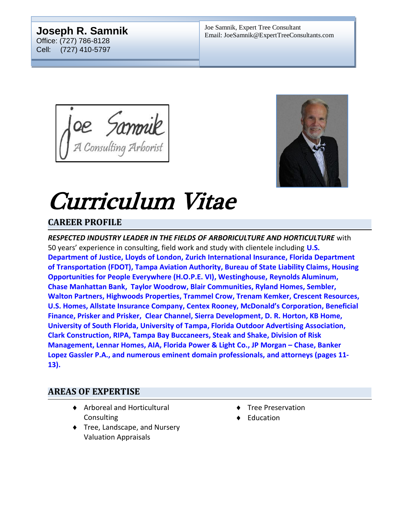#### **Joseph R. Samnik** Office: (727) 786-8128 Cell: (727) 410-5797

OE Sammik



# Curriculum Vitae

# **CAREER PROFILE**

*RESPECTED INDUSTRY LEADER IN THE FIELDS OF ARBORICULTURE AND HORTICULTURE* with 50 years' experience in consulting, field work and study with clientele including **U.S. Department of Justice, Lloyds of London, Zurich International Insurance, Florida Department of Transportation (FDOT), Tampa Aviation Authority, Bureau of State Liability Claims, Housing Opportunities for People Everywhere (H.O.P.E. VI), Westinghouse, Reynolds Aluminum, Chase Manhattan Bank, Taylor Woodrow, Blair Communities, Ryland Homes, Sembler, Walton Partners, Highwoods Properties, Trammel Crow, Trenam Kemker, Crescent Resources, U.S. Homes, Allstate Insurance Company, Centex Rooney, McDonald's Corporation, Beneficial Finance, Prisker and Prisker, Clear Channel, Sierra Development, D. R. Horton, KB Home, University of South Florida, University of Tampa, Florida Outdoor Advertising Association, Clark Construction, RIPA, Tampa Bay Buccaneers, Steak and Shake, Division of Risk Management, Lennar Homes, AIA, Florida Power & Light Co., JP Morgan – Chase, Banker Lopez Gassler P.A., and numerous eminent domain professionals, and attorneys (pages 11- 13).**

#### **AREAS OF EXPERTISE**

- ◆ Arboreal and Horticultural **Consulting**
- ◆ Tree, Landscape, and Nursery Valuation Appraisals
- ◆ Tree Preservation
- ◆ Education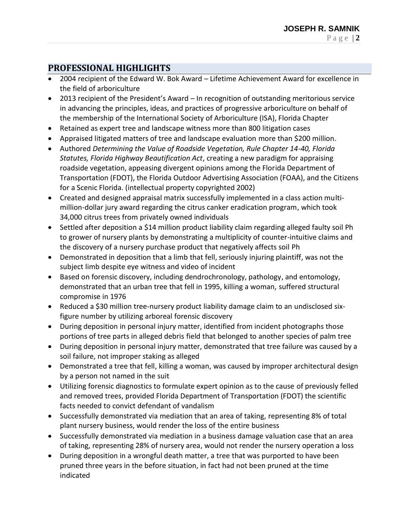## **PROFESSIONAL HIGHLIGHTS**

- 2004 recipient of the Edward W. Bok Award Lifetime Achievement Award for excellence in the field of arboriculture
- 2013 recipient of the President's Award In recognition of outstanding meritorious service in advancing the principles, ideas, and practices of progressive arboriculture on behalf of the membership of the International Society of Arboriculture (ISA), Florida Chapter
- Retained as expert tree and landscape witness more than 800 litigation cases
- Appraised litigated matters of tree and landscape evaluation more than \$200 million.
- Authored *Determining the Value of Roadside Vegetation, Rule Chapter 14-40, Florida Statutes, Florida Highway Beautification Act*, creating a new paradigm for appraising roadside vegetation, appeasing divergent opinions among the Florida Department of Transportation (FDOT), the Florida Outdoor Advertising Association (FOAA), and the Citizens for a Scenic Florida. (intellectual property copyrighted 2002)
- Created and designed appraisal matrix successfully implemented in a class action multimillion-dollar jury award regarding the citrus canker eradication program, which took 34,000 citrus trees from privately owned individuals
- Settled after deposition a \$14 million product liability claim regarding alleged faulty soil Ph to grower of nursery plants by demonstrating a multiplicity of counter-intuitive claims and the discovery of a nursery purchase product that negatively affects soil Ph
- Demonstrated in deposition that a limb that fell, seriously injuring plaintiff, was not the subject limb despite eye witness and video of incident
- Based on forensic discovery, including dendrochronology, pathology, and entomology, demonstrated that an urban tree that fell in 1995, killing a woman, suffered structural compromise in 1976
- Reduced a \$30 million tree-nursery product liability damage claim to an undisclosed sixfigure number by utilizing arboreal forensic discovery
- During deposition in personal injury matter, identified from incident photographs those portions of tree parts in alleged debris field that belonged to another species of palm tree
- During deposition in personal injury matter, demonstrated that tree failure was caused by a soil failure, not improper staking as alleged
- Demonstrated a tree that fell, killing a woman, was caused by improper architectural design by a person not named in the suit
- Utilizing forensic diagnostics to formulate expert opinion as to the cause of previously felled and removed trees, provided Florida Department of Transportation (FDOT) the scientific facts needed to convict defendant of vandalism
- Successfully demonstrated via mediation that an area of taking, representing 8% of total plant nursery business, would render the loss of the entire business
- Successfully demonstrated via mediation in a business damage valuation case that an area of taking, representing 28% of nursery area, would not render the nursery operation a loss
- During deposition in a wrongful death matter, a tree that was purported to have been pruned three years in the before situation, in fact had not been pruned at the time indicated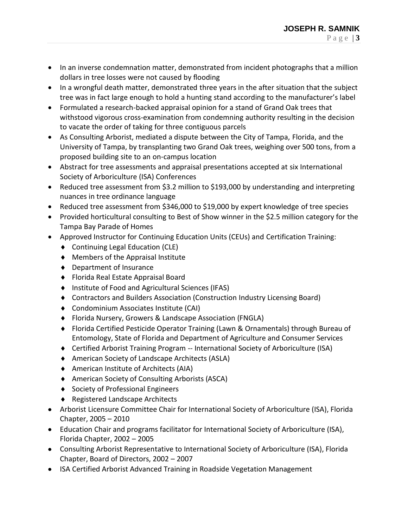- In an inverse condemnation matter, demonstrated from incident photographs that a million dollars in tree losses were not caused by flooding
- In a wrongful death matter, demonstrated three years in the after situation that the subject tree was in fact large enough to hold a hunting stand according to the manufacturer's label
- Formulated a research-backed appraisal opinion for a stand of Grand Oak trees that withstood vigorous cross-examination from condemning authority resulting in the decision to vacate the order of taking for three contiguous parcels
- As Consulting Arborist, mediated a dispute between the City of Tampa, Florida, and the University of Tampa, by transplanting two Grand Oak trees, weighing over 500 tons, from a proposed building site to an on-campus location
- Abstract for tree assessments and appraisal presentations accepted at six International Society of Arboriculture (ISA) Conferences
- Reduced tree assessment from \$3.2 million to \$193,000 by understanding and interpreting nuances in tree ordinance language
- Reduced tree assessment from \$346,000 to \$19,000 by expert knowledge of tree species
- Provided horticultural consulting to Best of Show winner in the \$2.5 million category for the Tampa Bay Parade of Homes
- Approved Instructor for Continuing Education Units (CEUs) and Certification Training:
	- ◆ Continuing Legal Education (CLE)
	- Members of the Appraisal Institute
	- ◆ Department of Insurance
	- Florida Real Estate Appraisal Board
	- ♦ Institute of Food and Agricultural Sciences (IFAS)
	- Contractors and Builders Association (Construction Industry Licensing Board)
	- Condominium Associates Institute (CAI)
	- Florida Nursery, Growers & Landscape Association (FNGLA)
	- Florida Certified Pesticide Operator Training (Lawn & Ornamentals) through Bureau of Entomology, State of Florida and Department of Agriculture and Consumer Services
	- Certified Arborist Training Program -- International Society of Arboriculture (ISA)
	- American Society of Landscape Architects (ASLA)
	- American Institute of Architects (AIA)
	- American Society of Consulting Arborists (ASCA)
	- ◆ Society of Professional Engineers
	- ◆ Registered Landscape Architects
- Arborist Licensure Committee Chair for International Society of Arboriculture (ISA), Florida Chapter, 2005 – 2010
- Education Chair and programs facilitator for International Society of Arboriculture (ISA), Florida Chapter, 2002 – 2005
- Consulting Arborist Representative to International Society of Arboriculture (ISA), Florida Chapter, Board of Directors, 2002 – 2007
- ISA Certified Arborist Advanced Training in Roadside Vegetation Management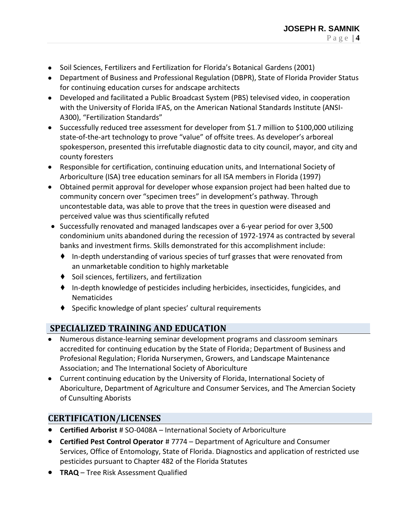- Soil Sciences, Fertilizers and Fertilization for Florida's Botanical Gardens (2001)
- Department of Business and Professional Regulation (DBPR), State of Florida Provider Status for continuing education curses for andscape architects
- Developed and facilitated a Public Broadcast System (PBS) televised video, in cooperation with the University of Florida IFAS, on the American National Standards Institute (ANSI-A300), "Fertilization Standards"
- Successfully reduced tree assessment for developer from \$1.7 million to \$100,000 utilizing state-of-the-art technology to prove "value" of offsite trees. As developer's arboreal spokesperson, presented this irrefutable diagnostic data to city council, mayor, and city and county foresters
- Responsible for certification, continuing education units, and International Society of Arboriculture (ISA) tree education seminars for all ISA members in Florida (1997)
- Obtained permit approval for developer whose expansion project had been halted due to community concern over "specimen trees" in development's pathway. Through uncontestable data, was able to prove that the trees in question were diseased and perceived value was thus scientifically refuted
- Successfully renovated and managed landscapes over a 6-year period for over 3,500 condominium units abandoned during the recession of 1972-1974 as contracted by several banks and investment firms. Skills demonstrated for this accomplishment include:
	- ♦ In-depth understanding of various species of turf grasses that were renovated from an unmarketable condition to highly marketable
	- ♦ Soil sciences, fertilizers, and fertilization
	- $\bullet$  In-depth knowledge of pesticides including herbicides, insecticides, fungicides, and Nematicides
	- ♦ Specific knowledge of plant species' cultural requirements

## **SPECIALIZED TRAINING AND EDUCATION**

- Numerous distance-learning seminar development programs and classroom seminars accredited for continuing education by the State of Florida; Department of Business and Profesional Regulation; Florida Nurserymen, Growers, and Landscape Maintenance Association; and The International Society of Aboriculture
- Current continuing education by the University of Florida, International Society of Aboriculture, Department of Agriculture and Consumer Services, and The Amercian Society of Cunsulting Aborists

## **CERTIFICATION/LICENSES**

- **Certified Arborist** # SO-0408A International Society of Arboriculture
- **Certified Pest Control Operator** # 7774 Department of Agriculture and Consumer Services, Office of Entomology, State of Florida. Diagnostics and application of restricted use pesticides pursuant to Chapter 482 of the Florida Statutes
- **TRAQ**  Tree Risk Assessment Qualified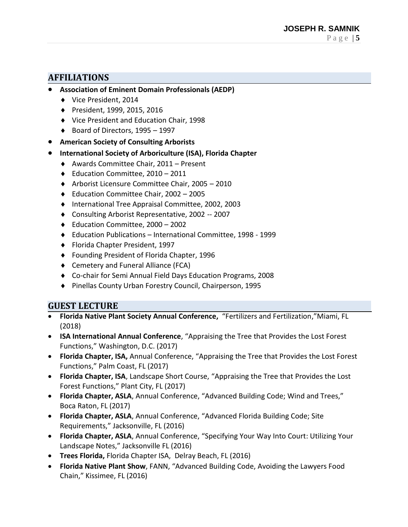#### **AFFILIATIONS**

- **Association of Eminent Domain Professionals (AEDP)**
	- ◆ Vice President, 2014
	- President, 1999, 2015, 2016
	- ◆ Vice President and Education Chair, 1998
	- $\bullet$  Board of Directors, 1995 1997
- **American Society of Consulting Arborists**
- **International Society of Arboriculture (ISA), Florida Chapter**
	- Awards Committee Chair, 2011 Present
	- ◆ Education Committee, 2010 2011
	- Arborist Licensure Committee Chair, 2005 2010
	- ◆ Education Committee Chair, 2002 2005
	- ◆ International Tree Appraisal Committee, 2002, 2003
	- Consulting Arborist Representative, 2002 -- 2007
	- ◆ Education Committee, 2000 2002
	- Education Publications International Committee, 1998 1999
	- ◆ Florida Chapter President, 1997
	- ◆ Founding President of Florida Chapter, 1996
	- ◆ Cemetery and Funeral Alliance (FCA)
	- Co-chair for Semi Annual Field Days Education Programs, 2008
	- ◆ Pinellas County Urban Forestry Council, Chairperson, 1995

#### **GUEST LECTURE**

- **Florida Native Plant Society Annual Conference,** "Fertilizers and Fertilization,"Miami, FL (2018)
- **ISA International Annual Conference**, "Appraising the Tree that Provides the Lost Forest Functions," Washington, D.C. (2017)
- **Florida Chapter, ISA,** Annual Conference, "Appraising the Tree that Provides the Lost Forest Functions," Palm Coast, FL (2017)
- **Florida Chapter, ISA**, Landscape Short Course, "Appraising the Tree that Provides the Lost Forest Functions," Plant City, FL (2017)
- **Florida Chapter, ASLA**, Annual Conference, "Advanced Building Code; Wind and Trees," Boca Raton, FL (2017)
- **Florida Chapter, ASLA**, Annual Conference, "Advanced Florida Building Code; Site Requirements," Jacksonville, FL (2016)
- **Florida Chapter, ASLA**, Annual Conference, "Specifying Your Way Into Court: Utilizing Your Landscape Notes," Jacksonville FL (2016)
- **Trees Florida,** Florida Chapter ISA, Delray Beach, FL (2016)
- **Florida Native Plant Show**, FANN, "Advanced Building Code, Avoiding the Lawyers Food Chain," Kissimee, FL (2016)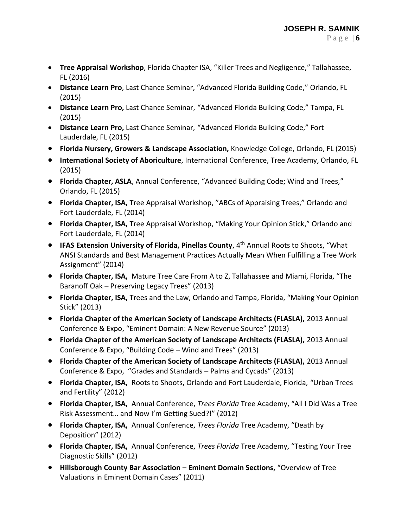- **Tree Appraisal Workshop**, Florida Chapter ISA, "Killer Trees and Negligence," Tallahassee, FL (2016)
- **Distance Learn Pro**, Last Chance Seminar, "Advanced Florida Building Code," Orlando, FL (2015)
- **Distance Learn Pro,** Last Chance Seminar, "Advanced Florida Building Code," Tampa, FL (2015)
- **Distance Learn Pro,** Last Chance Seminar, "Advanced Florida Building Code," Fort Lauderdale, FL (2015)
- **Florida Nursery, Growers & Landscape Association,** Knowledge College, Orlando, FL (2015)
- **International Society of Aboriculture**, International Conference, Tree Academy, Orlando, FL (2015)
- **Florida Chapter, ASLA**, Annual Conference, "Advanced Building Code; Wind and Trees," Orlando, FL (2015)
- **Florida Chapter, ISA,** Tree Appraisal Workshop, "ABCs of Appraising Trees," Orlando and Fort Lauderdale, FL (2014)
- **Florida Chapter, ISA,** Tree Appraisal Workshop, "Making Your Opinion Stick," Orlando and Fort Lauderdale, FL (2014)
- **IFAS Extension University of Florida, Pinellas County**, 4th Annual Roots to Shoots, "What ANSI Standards and Best Management Practices Actually Mean When Fulfilling a Tree Work Assignment" (2014)
- **Florida Chapter, ISA,** Mature Tree Care From A to Z, Tallahassee and Miami, Florida, "The Baranoff Oak – Preserving Legacy Trees" (2013)
- **Florida Chapter, ISA,** Trees and the Law, Orlando and Tampa, Florida, "Making Your Opinion Stick" (2013)
- **Florida Chapter of the American Society of Landscape Architects (FLASLA),** 2013 Annual Conference & Expo, "Eminent Domain: A New Revenue Source" (2013)
- **Florida Chapter of the American Society of Landscape Architects (FLASLA),** 2013 Annual Conference & Expo, "Building Code – Wind and Trees" (2013)
- **Florida Chapter of the American Society of Landscape Architects (FLASLA),** 2013 Annual Conference & Expo, "Grades and Standards – Palms and Cycads" (2013)
- **Florida Chapter, ISA,** Roots to Shoots, Orlando and Fort Lauderdale, Florida, "Urban Trees and Fertility" (2012)
- **Florida Chapter, ISA,** Annual Conference, *Trees Florida* Tree Academy, "All I Did Was a Tree Risk Assessment… and Now I'm Getting Sued?!" (2012)
- **Florida Chapter, ISA,** Annual Conference, *Trees Florida* Tree Academy, "Death by Deposition" (2012)
- **Florida Chapter, ISA,** Annual Conference, *Trees Florida* Tree Academy, "Testing Your Tree Diagnostic Skills" (2012)
- **Hillsborough County Bar Association – Eminent Domain Sections,** "Overview of Tree Valuations in Eminent Domain Cases" (2011)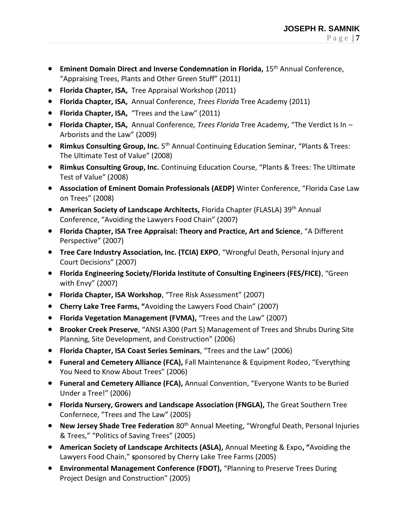- **Eminent Domain Direct and Inverse Condemnation in Florida, 15<sup>th</sup> Annual Conference,** "Appraising Trees, Plants and Other Green Stuff" (2011)
- **Florida Chapter, ISA,** Tree Appraisal Workshop (2011)
- **Florida Chapter, ISA,** Annual Conference, *Trees Florida* Tree Academy (2011)
- **Florida Chapter, ISA,** "Trees and the Law" (2011)
- **Florida Chapter, ISA,** Annual Conference*, Trees Florida* Tree Academy, "The Verdict Is In Arborists and the Law" (2009)
- **Rimkus Consulting Group, Inc.** 5<sup>th</sup> Annual Continuing Education Seminar, "Plants & Trees: The Ultimate Test of Value" (2008)
- **Rimkus Consulting Group, Inc.** Continuing Education Course, "Plants & Trees: The Ultimate Test of Value" (2008)
- **Association of Eminent Domain Professionals (AEDP)** Winter Conference, "Florida Case Law on Trees" (2008)
- **American Society of Landscape Architects,** Florida Chapter (FLASLA) 39th Annual Conference, "Avoiding the Lawyers Food Chain" (2007)
- **Florida Chapter, ISA Tree Appraisal: Theory and Practice, Art and Science**, "A Different Perspective" (2007)
- **Tree Care Industry Association, Inc. (TCIA) EXPO**, "Wrongful Death, Personal Injury and Court Decisions" (2007)
- **Florida Engineering Society/Florida Institute of Consulting Engineers (FES/FICE)**, "Green with Envy" (2007)
- **Florida Chapter, ISA Workshop**, "Tree Risk Assessment" (2007)
- **Cherry Lake Tree Farms, "**Avoiding the Lawyers Food Chain" (2007)
- **Florida Vegetation Management (FVMA),** "Trees and the Law" (2007)
- **Brooker Creek Preserve**, "ANSI A300 (Part 5) Management of Trees and Shrubs During Site Planning, Site Development, and Construction" (2006)
- **Florida Chapter, ISA Coast Series Seminars**, "Trees and the Law" (2006)
- **Funeral and Cemetery Alliance (FCA),** Fall Maintenance & Equipment Rodeo, "Everything You Need to Know About Trees" (2006)
- **Funeral and Cemetery Alliance (FCA),** Annual Convention, "Everyone Wants to be Buried Under a Tree!" (2006)
- **Florida Nursery, Growers and Landscape Association (FNGLA),** The Great Southern Tree Confernece, "Trees and The Law" (2005)
- **New Jersey Shade Tree Federation** 80th Annual Meeting, "Wrongful Death, Personal Injuries & Trees," "Politics of Saving Trees" (2005)
- **American Society of Landscape Architects (ASLA),** Annual Meeting & Expo**, "**Avoiding the Lawyers Food Chain," **s**ponsored by Cherry Lake Tree Farms (2005)
- **Environmental Management Conference (FDOT),** "Planning to Preserve Trees During Project Design and Construction" (2005)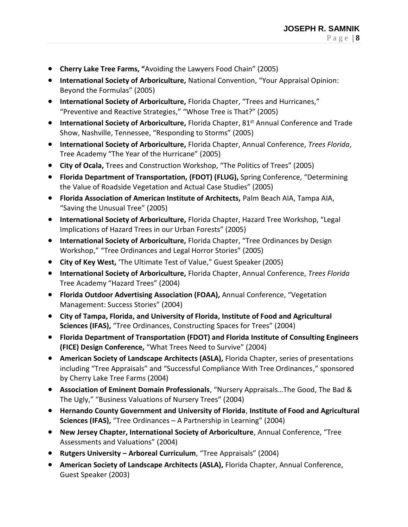- **Cherry Lake Tree Farms, "**Avoiding the Lawyers Food Chain" (2005)
- **International Society of Arboriculture,** National Convention, "Your Appraisal Opinion: Beyond the Formulas" (2005)
- **International Society of Arboriculture,** Florida Chapter, "Trees and Hurricanes," "Preventive and Reactive Strategies," "Whose Tree is That?" (2005)
- International Society of Arboriculture, Florida Chapter, 81<sup>st</sup> Annual Conference and Trade Show, Nashville, Tennessee, "Responding to Storms" (2005)
- **International Society of Arboriculture,** Florida Chapter, Annual Conference, *Trees Florida*, Tree Academy "The Year of the Hurricane" (2005)
- **City of Ocala,** Trees and Construction Workshop, "The Politics of Trees" (2005)
- **Florida Department of Transportation, (FDOT) (FLUG),** Spring Conference, "Determining the Value of Roadside Vegetation and Actual Case Studies" (2005)
- **Florida Association of American Institute of Architects,** Palm Beach AIA, Tampa AIA, "Saving the Unusual Tree" (2005)
- **International Society of Arboriculture,** Florida Chapter, Hazard Tree Workshop, "Legal Implications of Hazard Trees in our Urban Forests" (2005)
- **International Society of Arboriculture,** Florida Chapter, "Tree Ordinances by Design Workshop," "Tree Ordinances and Legal Horror Stories" (2005)
- **City of Key West,** 'The Ultimate Test of Value," Guest Speaker (2005)
- **International Society of Arboriculture,** Florida Chapter, Annual Conference, *Trees Florida* Tree Academy "Hazard Trees" (2004)
- **Florida Outdoor Advertising Association (FOAA),** Annual Conference, "Vegetation Management: Success Stories" (2004)
- **City of Tampa, Florida, and University of Florida, Institute of Food and Agricultural Sciences (IFAS),** "Tree Ordinances, Constructing Spaces for Trees" (2004)
- **Florida Department of Transportation (FDOT) and Florida Institute of Consulting Engineers (FICE) Design Conference,** "What Trees Need to Survive" (2004)
- **American Society of Landscape Architects (ASLA),** Florida Chapter, series of presentations including "Tree Appraisals" and "Successful Compliance With Tree Ordinances," sponsored by Cherry Lake Tree Farms (2004)
- **Association of Eminent Domain Professionals**, "Nursery Appraisals…The Good, The Bad & The Ugly," "Business Valuations of Nursery Trees" (2004)
- **Hernando County Government and University of Florida**, **Institute of Food and Agricultural Sciences (IFAS),** "Tree Ordinances – A Partnership in Learning" (2004)
- **New Jersey Chapter, International Society of Arboriculture**, Annual Conference, "Tree Assessments and Valuations" (2004)
- **Rutgers University – Arboreal Curriculum**, "Tree Appraisals" (2004)
- **American Society of Landscape Architects (ASLA),** Florida Chapter, Annual Conference, Guest Speaker (2003)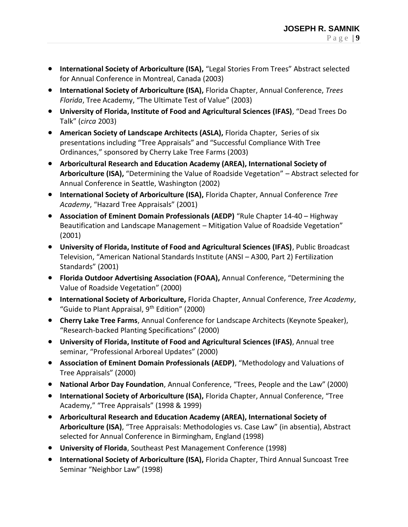- **International Society of Arboriculture (ISA),** "Legal Stories From Trees" Abstract selected for Annual Conference in Montreal, Canada (2003)
- **International Society of Arboriculture (ISA),** Florida Chapter, Annual Conference, *Trees Florida*, Tree Academy, "The Ultimate Test of Value" (2003)
- **University of Florida, Institute of Food and Agricultural Sciences (IFAS)**, "Dead Trees Do Talk" (*circa* 2003)
- **American Society of Landscape Architects (ASLA),** Florida Chapter,Series of six presentations including "Tree Appraisals" and "Successful Compliance With Tree Ordinances," sponsored by Cherry Lake Tree Farms (2003)
- **Arboricultural Research and Education Academy (AREA), International Society of Arboriculture (ISA),** "Determining the Value of Roadside Vegetation" – Abstract selected for Annual Conference in Seattle, Washington (2002)
- **International Society of Arboriculture (ISA),** Florida Chapter, Annual Conference *Tree Academy*, "Hazard Tree Appraisals" (2001)
- **Association of Eminent Domain Professionals (AEDP)** "Rule Chapter 14-40 Highway Beautification and Landscape Management – Mitigation Value of Roadside Vegetation" (2001)
- **University of Florida, Institute of Food and Agricultural Sciences (IFAS)**, Public Broadcast Television, "American National Standards Institute (ANSI – A300, Part 2) Fertilization Standards" (2001)
- **Florida Outdoor Advertising Association (FOAA),** Annual Conference, "Determining the Value of Roadside Vegetation" (2000)
- **International Society of Arboriculture,** Florida Chapter, Annual Conference, *Tree Academy*, "Guide to Plant Appraisal, 9<sup>th</sup> Edition" (2000)
- **Cherry Lake Tree Farms**, Annual Conference for Landscape Architects (Keynote Speaker), "Research-backed Planting Specifications" (2000)
- **University of Florida, Institute of Food and Agricultural Sciences (IFAS)**, Annual tree seminar, "Professional Arboreal Updates" (2000)
- **Association of Eminent Domain Professionals (AEDP)**, "Methodology and Valuations of Tree Appraisals" (2000)
- **National Arbor Day Foundation**, Annual Conference, "Trees, People and the Law" (2000)
- **International Society of Arboriculture (ISA),** Florida Chapter, Annual Conference, "Tree Academy," "Tree Appraisals" (1998 & 1999)
- **Arboricultural Research and Education Academy (AREA), International Society of Arboriculture (ISA)**, "Tree Appraisals: Methodologies vs. Case Law" (in absentia), Abstract selected for Annual Conference in Birmingham, England (1998)
- **University of Florida**, Southeast Pest Management Conference (1998)
- **International Society of Arboriculture (ISA),** Florida Chapter, Third Annual Suncoast Tree Seminar "Neighbor Law" (1998)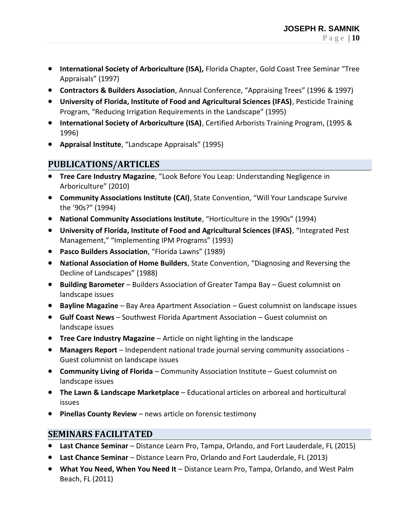- **International Society of Arboriculture (ISA),** Florida Chapter, Gold Coast Tree Seminar "Tree Appraisals" (1997)
- **Contractors & Builders Association**, Annual Conference, "Appraising Trees" (1996 & 1997)
- **University of Florida, Institute of Food and Agricultural Sciences (IFAS)**, Pesticide Training Program, "Reducing Irrigation Requirements in the Landscape" (1995)
- **International Society of Arboriculture (ISA)**, Certified Arborists Training Program, (1995 & 1996)
- **Appraisal Institute**, "Landscape Appraisals" (1995)

#### **PUBLICATIONS/ARTICLES**

- **Tree Care Industry Magazine**, "Look Before You Leap: Understanding Negligence in Arboriculture" (2010)
- **Community Associations Institute (CAI)**, State Convention, "Will Your Landscape Survive the '90s?" (1994)
- **National Community Associations Institute**, "Horticulture in the 1990s" (1994)
- **University of Florida, Institute of Food and Agricultural Sciences (IFAS)**, "Integrated Pest Management," "Implementing IPM Programs" (1993)
- **Pasco Builders Association**, "Florida Lawns" (1989)
- **National Association of Home Builders**, State Convention, "Diagnosing and Reversing the Decline of Landscapes" (1988)
- **Building Barometer** Builders Association of Greater Tampa Bay Guest columnist on landscape issues
- **Bayline Magazine** Bay Area Apartment Association Guest columnist on landscape issues
- **Gulf Coast News** Southwest Florida Apartment Association Guest columnist on landscape issues
- **Tree Care Industry Magazine** Article on night lighting in the landscape
- **Managers Report** Independent national trade journal serving community associations Guest columnist on landscape issues
- **Community Living of Florida** Community Association Institute Guest columnist on landscape issues
- **The Lawn & Landscape Marketplace** Educational articles on arboreal and horticultural issues
- **Pinellas County Review** news article on forensic testimony

## **SEMINARS FACILITATED**

- **Last Chance Seminar** Distance Learn Pro, Tampa, Orlando, and Fort Lauderdale, FL (2015)
- **Last Chance Seminar** Distance Learn Pro, Orlando and Fort Lauderdale, FL (2013)
- **What You Need, When You Need It** Distance Learn Pro, Tampa, Orlando, and West Palm Beach, FL (2011)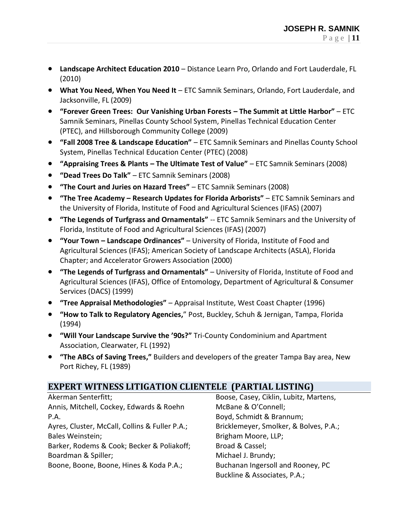- **Landscape Architect Education 2010**  Distance Learn Pro, Orlando and Fort Lauderdale, FL (2010)
- **What You Need, When You Need It** ETC Samnik Seminars, Orlando, Fort Lauderdale, and Jacksonville, FL (2009)
- **"Forever Green Trees: Our Vanishing Urban Forests – The Summit at Little Harbor"** ETC Samnik Seminars, Pinellas County School System, Pinellas Technical Education Center (PTEC), and Hillsborough Community College (2009)
- **"Fall 2008 Tree & Landscape Education"** ETC Samnik Seminars and Pinellas County School System, Pinellas Technical Education Center (PTEC) (2008)
- **"Appraising Trees & Plants – The Ultimate Test of Value"**  ETC Samnik Seminars (2008)
- **"Dead Trees Do Talk"** ETC Samnik Seminars (2008)
- **"The Court and Juries on Hazard Trees"**  ETC Samnik Seminars (2008)
- **"The Tree Academy – Research Updates for Florida Arborists"**  ETC Samnik Seminars and the University of Florida, Institute of Food and Agricultural Sciences (IFAS) (2007)
- **"The Legends of Turfgrass and Ornamentals"** -- ETC Samnik Seminars and the University of Florida, Institute of Food and Agricultural Sciences (IFAS) (2007)
- **"Your Town – Landscape Ordinances"** University of Florida, Institute of Food and Agricultural Sciences (IFAS); American Society of Landscape Architects (ASLA), Florida Chapter; and Accelerator Growers Association (2000)
- **"The Legends of Turfgrass and Ornamentals"**  University of Florida, Institute of Food and Agricultural Sciences (IFAS), Office of Entomology, Department of Agricultural & Consumer Services (DACS) (1999)
- **"Tree Appraisal Methodologies"** Appraisal Institute, West Coast Chapter (1996)
- **"How to Talk to Regulatory Agencies,**" Post, Buckley, Schuh & Jernigan, Tampa, Florida (1994)
- **"Will Your Landscape Survive the '90s?"** Tri-County Condominium and Apartment Association, Clearwater, FL (1992)
- **"The ABCs of Saving Trees,"** Builders and developers of the greater Tampa Bay area, New Port Richey, FL (1989)

## **EXPERT WITNESS LITIGATION CLIENTELE (PARTIAL LISTING)**

Akerman Senterfitt; Annis, Mitchell, Cockey, Edwards & Roehn P.A. Ayres, Cluster, McCall, Collins & Fuller P.A.; Bales Weinstein; Barker, Rodems & Cook; Becker & Poliakoff; Boardman & Spiller; Boone, Boone, Boone, Hines & Koda P.A.;

Boose, Casey, Ciklin, Lubitz, Martens, McBane & O'Connell; Boyd, Schmidt & Brannum; Bricklemeyer, Smolker, & Bolves, P.A.; Brigham Moore, LLP; Broad & Cassel; Michael J. Brundy; Buchanan Ingersoll and Rooney, PC Buckline & Associates, P.A.;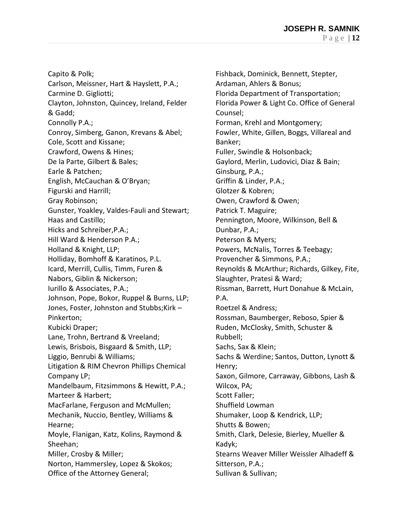Capito & Polk; Carlson, Meissner, Hart & Hayslett, P.A.; Carmine D. Gigliotti; Clayton, Johnston, Quincey, Ireland, Felder & Gadd; Connolly P.A.; Conroy, Simberg, Ganon, Krevans & Abel; Cole, Scott and Kissane; Crawford, Owens & Hines; De la Parte, Gilbert & Bales; Earle & Patchen; English, McCauchan & O'Bryan; Figurski and Harrill; Gray Robinson; Gunster, Yoakley, Valdes-Fauli and Stewart; Haas and Castillo; Hicks and Schreiber,P.A.; Hill Ward & Henderson P.A.; Holland & Knight, LLP; Holliday, Bomhoff & Karatinos, P.L. Icard, Merrill, Cullis, Timm, Furen & Nabors, Giblin & Nickerson; Iurillo & Associates, P.A.; Johnson, Pope, Bokor, Ruppel & Burns, LLP; Jones, Foster, Johnston and Stubbs;Kirk – Pinkerton; Kubicki Draper; Lane, Trohn, Bertrand & Vreeland; Lewis, Brisbois, Bisgaard & Smith, LLP; Liggio, Benrubi & Williams; Litigation & RIM Chevron Phillips Chemical Company LP; Mandelbaum, Fitzsimmons & Hewitt, P.A.; Marteer & Harbert; MacFarlane, Ferguson and McMullen; Mechanik, Nuccio, Bentley, Williams & Hearne; Moyle, Flanigan, Katz, Kolins, Raymond & Sheehan; Miller, Crosby & Miller; Norton, Hammersley, Lopez & Skokos; Office of the Attorney General;

Fishback, Dominick, Bennett, Stepter, Ardaman, Ahlers & Bonus; Florida Department of Transportation; Florida Power & Light Co. Office of General Counsel; Forman, Krehl and Montgomery; Fowler, White, Gillen, Boggs, Villareal and Banker; Fuller, Swindle & Holsonback; Gaylord, Merlin, Ludovici, Diaz & Bain; Ginsburg, P.A.; Griffin & Linder, P.A.; Glotzer & Kobren; Owen, Crawford & Owen; Patrick T. Maguire; Pennington, Moore, Wilkinson, Bell & Dunbar, P.A.; Peterson & Myers; Powers, McNalis, Torres & Teebagy; Provencher & Simmons, P.A.; Reynolds & McArthur; Richards, Gilkey, Fite, Slaughter, Pratesi & Ward; Rissman, Barrett, Hurt Donahue & McLain, P.A. Roetzel & Andress; Rossman, Baumberger, Reboso, Spier & Ruden, McClosky, Smith, Schuster & Rubbell; Sachs, Sax & Klein; Sachs & Werdine; Santos, Dutton, Lynott & Henry; Saxon, Gilmore, Carraway, Gibbons, Lash & Wilcox, PA; Scott Faller; Shuffield Lowman Shumaker, Loop & Kendrick, LLP; Shutts & Bowen; Smith, Clark, Delesie, Bierley, Mueller & Kadyk; Stearns Weaver Miller Weissler Alhadeff & Sitterson, P.A.; Sullivan & Sullivan;